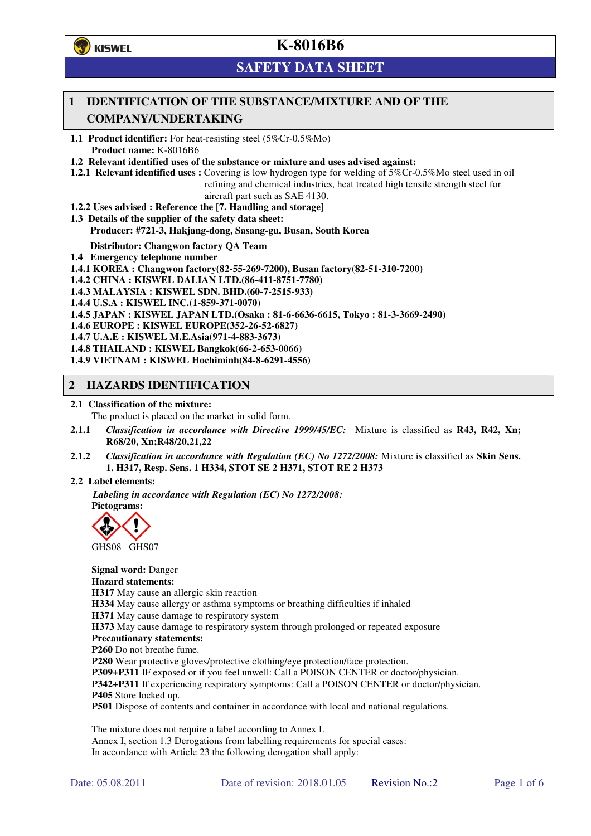

# **SAFETY DATA SHEET**

## **1 IDENTIFICATION OF THE SUBSTANCE/MIXTURE AND OF THE COMPANY/UNDERTAKING**

**1.1 Product identifier:** For heat-resisting steel (5%Cr-0.5%Mo) **Product name:** K-8016B6

**1.2 Relevant identified uses of the substance or mixture and uses advised against:**

**1.2.1 Relevant identified uses :** Covering is low hydrogen type for welding of 5%Cr-0.5%Mo steel used in oil refining and chemical industries, heat treated high tensile strength steel for

aircraft part such as SAE 4130.

- **1.2.2 Uses advised : Reference the [7. Handling and storage]**
- **1.3 Details of the supplier of the safety data sheet: Producer: #721-3, Hakjang-dong, Sasang-gu, Busan, South Korea**

**Distributor: Changwon factory QA Team** 

- **1.4 Emergency telephone number**
- **1.4.1 KOREA : Changwon factory(82-55-269-7200), Busan factory(82-51-310-7200)**

**1.4.2 CHINA : KISWEL DALIAN LTD.(86-411-8751-7780)** 

**1.4.3 MALAYSIA : KISWEL SDN. BHD.(60-7-2515-933)** 

**1.4.4 U.S.A : KISWEL INC.(1-859-371-0070)** 

**1.4.5 JAPAN : KISWEL JAPAN LTD.(Osaka : 81-6-6636-6615, Tokyo : 81-3-3669-2490)** 

- **1.4.6 EUROPE : KISWEL EUROPE(352-26-52-6827)**
- **1.4.7 U.A.E : KISWEL M.E.Asia(971-4-883-3673)**

**1.4.8 THAILAND : KISWEL Bangkok(66-2-653-0066)** 

**1.4.9 VIETNAM : KISWEL Hochiminh(84-8-6291-4556)** 

#### **2 HAZARDS IDENTIFICATION**

#### **2.1 Classification of the mixture:**

The product is placed on the market in solid form.

- **2.1.1** *Classification in accordance with Directive 1999/45/EC:* Mixture is classified as **R43, R42, Xn; R68/20, Xn;R48/20,21,22**
- **2.1.2** *Classification in accordance with Regulation (EC) No 1272/2008:* Mixture is classified as **Skin Sens. 1. H317, Resp. Sens. 1 H334, STOT SE 2 H371, STOT RE 2 H373**

#### **2.2 Label elements:**

*Labeling in accordance with Regulation (EC) No 1272/2008:*  **Pictograms:** 



GHS08 GHS07

**Signal word:** Danger **Hazard statements: H317** May cause an allergic skin reaction **H334** May cause allergy or asthma symptoms or breathing difficulties if inhaled **H371** May cause damage to respiratory system **H373** May cause damage to respiratory system through prolonged or repeated exposure **Precautionary statements: P260** Do not breathe fume. **P280** Wear protective gloves/protective clothing/eye protection/face protection. **P309+P311** IF exposed or if you feel unwell: Call a POISON CENTER or doctor/physician. **P342+P311** If experiencing respiratory symptoms: Call a POISON CENTER or doctor/physician. **P405** Store locked up. **P501** Dispose of contents and container in accordance with local and national regulations.

The mixture does not require a label according to Annex I. Annex I, section 1.3 Derogations from labelling requirements for special cases: In accordance with Article 23 the following derogation shall apply: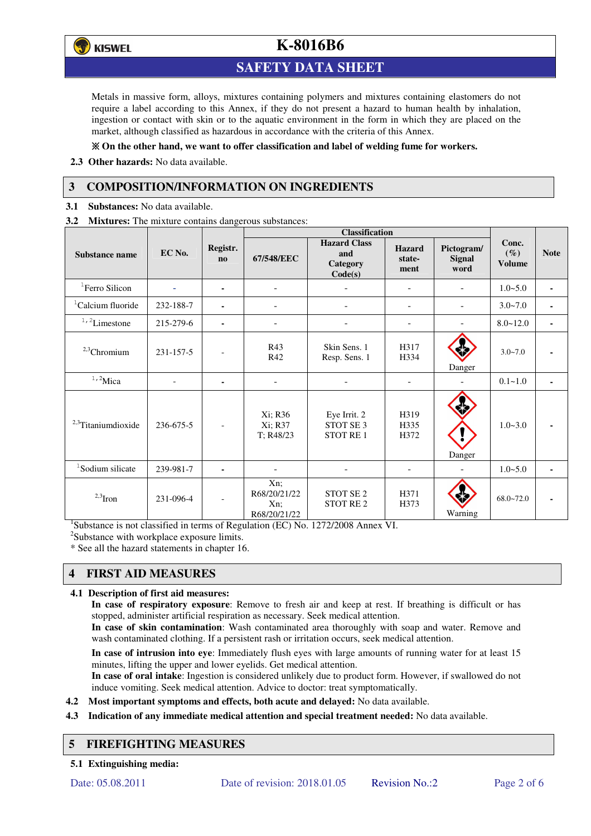

## **SAFETY DATA SHEET**

Metals in massive form, alloys, mixtures containing polymers and mixtures containing elastomers do not require a label according to this Annex, if they do not present a hazard to human health by inhalation, ingestion or contact with skin or to the aquatic environment in the form in which they are placed on the market, although classified as hazardous in accordance with the criteria of this Annex.

#### **On the other hand, we want to offer classification and label of welding fume for workers.**

**2.3 Other hazards:** No data available.

## **3 COMPOSITION/INFORMATION ON INGREDIENTS**

**3.1 Substances:** No data available.

**3.2 Mixtures:** The mixture contains dangerous substances:

|                                |           |                                    | <b>Classification</b>                         |                                                          |                                 |                                     |                                  |             |
|--------------------------------|-----------|------------------------------------|-----------------------------------------------|----------------------------------------------------------|---------------------------------|-------------------------------------|----------------------------------|-------------|
| <b>Substance name</b>          | EC No.    | Registr.<br>$\mathbf{n}\mathbf{o}$ | 67/548/EEC                                    | <b>Hazard Class</b><br>and<br><b>Category</b><br>Code(s) | <b>Hazard</b><br>state-<br>ment | Pictogram/<br><b>Signal</b><br>word | Conc.<br>$(\%)$<br><b>Volume</b> | <b>Note</b> |
| <sup>1</sup> Ferro Silicon     |           | ۰                                  |                                               |                                                          | -                               |                                     | $1.0 - 5.0$                      |             |
| <sup>1</sup> Calcium fluoride  | 232-188-7 | ٠                                  |                                               |                                                          | ۰                               |                                     | $3.0 - 7.0$                      |             |
| $1/2$ Limestone                | 215-279-6 | $\blacksquare$                     | $\blacksquare$                                |                                                          | -                               |                                     | $8.0 - 12.0$                     |             |
| $2,3$ Chromium                 | 231-157-5 |                                    | R43<br>R42                                    | Skin Sens. 1<br>Resp. Sens. 1                            | H317<br>H334                    | Danger                              | $3.0 - 7.0$                      |             |
| $1,2$ Mica                     |           | $\blacksquare$                     | ٠                                             |                                                          |                                 |                                     | $0.1 - 1.0$                      |             |
| <sup>2,3</sup> Titaniumdioxide | 236-675-5 | $\overline{\phantom{a}}$           | Xi; R36<br>Xi; R37<br>T; R48/23               | Eye Irrit. 2<br>STOT SE <sub>3</sub><br><b>STOT RE1</b>  | H319<br>H335<br>H372            | Danger                              | $1.0 - 3.0$                      |             |
| <sup>1</sup> Sodium silicate   | 239-981-7 |                                    |                                               |                                                          |                                 |                                     | $1.0 - 5.0$                      |             |
| $2,3$ Iron                     | 231-096-4 |                                    | Xn;<br>R68/20/21/22<br>$Xn$ :<br>R68/20/21/22 | STOT SE <sub>2</sub><br><b>STOT RE2</b>                  | H371<br>H373                    | Warning                             | $68.0 - 72.0$                    |             |

<sup>1</sup>Substance is not classified in terms of Regulation (EC) No. 1272/2008 Annex VI.

<sup>2</sup>Substance with workplace exposure limits.

\* See all the hazard statements in chapter 16.

# **4 FIRST AID MEASURES**

#### **4.1 Description of first aid measures:**

**In case of respiratory exposure**: Remove to fresh air and keep at rest. If breathing is difficult or has stopped, administer artificial respiration as necessary. Seek medical attention.

**In case of skin contamination**: Wash contaminated area thoroughly with soap and water. Remove and wash contaminated clothing. If a persistent rash or irritation occurs, seek medical attention.

 **In case of intrusion into eye**: Immediately flush eyes with large amounts of running water for at least 15 minutes, lifting the upper and lower eyelids. Get medical attention.

**In case of oral intake**: Ingestion is considered unlikely due to product form. However, if swallowed do not induce vomiting. Seek medical attention. Advice to doctor: treat symptomatically.

- **4.2 Most important symptoms and effects, both acute and delayed:** No data available.
- **4.3 Indication of any immediate medical attention and special treatment needed:** No data available.

## **5 FIREFIGHTING MEASURES**

**5.1 Extinguishing media:**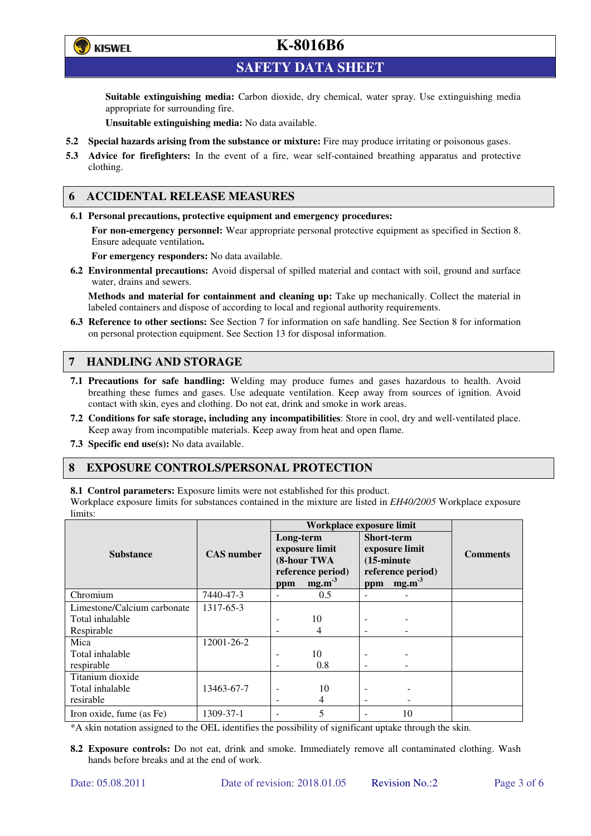

**SAFETY DATA SHEET** 

**Suitable extinguishing media:** Carbon dioxide, dry chemical, water spray. Use extinguishing media appropriate for surrounding fire.

**Unsuitable extinguishing media:** No data available.

- **5.2 Special hazards arising from the substance or mixture:** Fire may produce irritating or poisonous gases.
- **5.3 Advice for firefighters:** In the event of a fire, wear self-contained breathing apparatus and protective clothing.

### **6 ACCIDENTAL RELEASE MEASURES**

**6.1 Personal precautions, protective equipment and emergency procedures:** 

**For non-emergency personnel:** Wear appropriate personal protective equipment as specified in Section 8. Ensure adequate ventilation**.** 

**For emergency responders:** No data available.

**6.2 Environmental precautions:** Avoid dispersal of spilled material and contact with soil, ground and surface water, drains and sewers.

**Methods and material for containment and cleaning up:** Take up mechanically. Collect the material in labeled containers and dispose of according to local and regional authority requirements.

**6.3 Reference to other sections:** See Section 7 for information on safe handling. See Section 8 for information on personal protection equipment. See Section 13 for disposal information.

## **7 HANDLING AND STORAGE**

- **7.1 Precautions for safe handling:** Welding may produce fumes and gases hazardous to health. Avoid breathing these fumes and gases. Use adequate ventilation. Keep away from sources of ignition. Avoid contact with skin, eyes and clothing. Do not eat, drink and smoke in work areas.
- **7.2 Conditions for safe storage, including any incompatibilities**: Store in cool, dry and well-ventilated place. Keep away from incompatible materials. Keep away from heat and open flame.
- **7.3 Specific end use(s):** No data available.

#### **8 EXPOSURE CONTROLS/PERSONAL PROTECTION**

**8.1 Control parameters:** Exposure limits were not established for this product.

Workplace exposure limits for substances contained in the mixture are listed in *EH40/2005* Workplace exposure limits:

|                             |                   | Workplace exposure limit                                        |                   |                                                                                  |             |                 |  |
|-----------------------------|-------------------|-----------------------------------------------------------------|-------------------|----------------------------------------------------------------------------------|-------------|-----------------|--|
|                             |                   | Long-term<br>exposure limit<br>(8-hour TWA<br>reference period) |                   | <b>Short-term</b><br>exposure limit<br>$(15\text{-minute})$<br>reference period) |             | <b>Comments</b> |  |
| <b>Substance</b>            | <b>CAS</b> number |                                                                 |                   |                                                                                  |             |                 |  |
|                             |                   |                                                                 |                   |                                                                                  |             |                 |  |
|                             |                   |                                                                 |                   |                                                                                  |             |                 |  |
|                             |                   | ppm                                                             | mg.m <sup>3</sup> |                                                                                  | ppm $mg.m3$ |                 |  |
| Chromium                    | 7440-47-3         | $\overline{\phantom{a}}$                                        | 0.5               |                                                                                  |             |                 |  |
| Limestone/Calcium carbonate | 1317-65-3         |                                                                 |                   |                                                                                  |             |                 |  |
| Total inhalable             |                   |                                                                 | 10                |                                                                                  |             |                 |  |
| Respirable                  |                   |                                                                 | 4                 |                                                                                  |             |                 |  |
| Mica                        | 12001-26-2        |                                                                 |                   |                                                                                  |             |                 |  |
| Total inhalable             |                   | ٠                                                               | 10                |                                                                                  |             |                 |  |
| respirable                  |                   | $\overline{\phantom{0}}$                                        | 0.8               | -                                                                                |             |                 |  |
| Titanium dioxide            |                   |                                                                 |                   |                                                                                  |             |                 |  |
| Total inhalable             | 13463-67-7        |                                                                 | 10                |                                                                                  |             |                 |  |
| resirable                   |                   |                                                                 | 4                 | ۰                                                                                |             |                 |  |
| Iron oxide, fume (as Fe)    | 1309-37-1         | ۰                                                               | 5                 |                                                                                  | 10          |                 |  |

\*A skin notation assigned to the OEL identifies the possibility of significant uptake through the skin.

**8.2 Exposure controls:** Do not eat, drink and smoke. Immediately remove all contaminated clothing. Wash hands before breaks and at the end of work.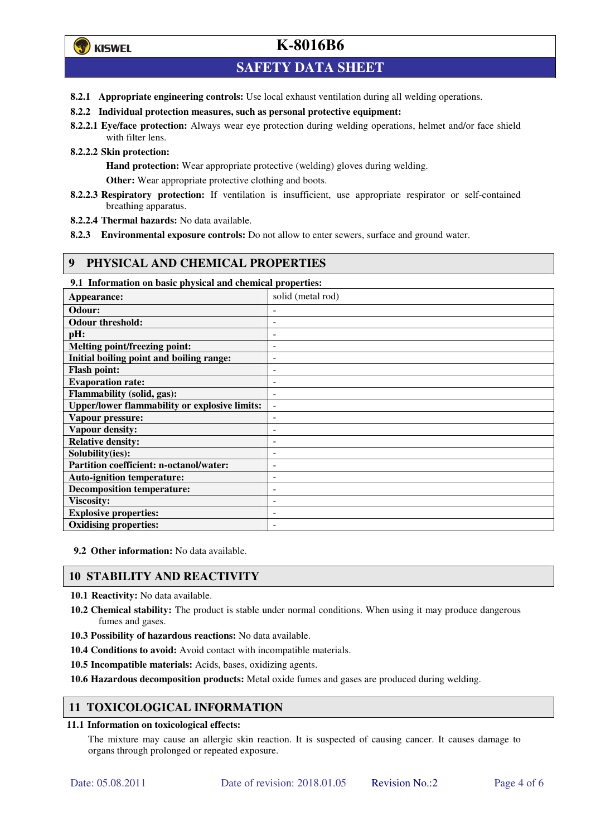## **SAFETY DATA SHEET**

- **8.2.1 Appropriate engineering controls:** Use local exhaust ventilation during all welding operations.
- **8.2.2 Individual protection measures, such as personal protective equipment:**
- **8.2.2.1 Eye/face protection:** Always wear eye protection during welding operations, helmet and/or face shield with filter lens.
- **8.2.2.2 Skin protection:**

**Hand protection:** Wear appropriate protective (welding) gloves during welding.

**Other:** Wear appropriate protective clothing and boots.

- **8.2.2.3 Respiratory protection:** If ventilation is insufficient, use appropriate respirator or self-contained breathing apparatus.
- **8.2.2.4 Thermal hazards:** No data available.
- **8.2.3 Environmental exposure controls:** Do not allow to enter sewers, surface and ground water.

### **9 PHYSICAL AND CHEMICAL PROPERTIES**

**9.1 Information on basic physical and chemical properties:** 

| Appearance:                                          | solid (metal rod)        |
|------------------------------------------------------|--------------------------|
| Odour:                                               |                          |
| <b>Odour threshold:</b>                              | -                        |
| pH:                                                  | -                        |
| Melting point/freezing point:                        | -                        |
| Initial boiling point and boiling range:             | $\overline{a}$           |
| <b>Flash point:</b>                                  | -                        |
| <b>Evaporation rate:</b>                             |                          |
| Flammability (solid, gas):                           | ۰                        |
| <b>Upper/lower flammability or explosive limits:</b> | $\overline{\phantom{a}}$ |
| Vapour pressure:                                     | -                        |
| <b>Vapour density:</b>                               |                          |
| <b>Relative density:</b>                             |                          |
| Solubility(ies):                                     |                          |
| Partition coefficient: n-octanol/water:              | ۰                        |
| <b>Auto-ignition temperature:</b>                    | $\overline{a}$           |
| <b>Decomposition temperature:</b>                    | -                        |
| <b>Viscosity:</b>                                    | -                        |
| <b>Explosive properties:</b>                         |                          |
| <b>Oxidising properties:</b>                         |                          |

**9.2 Other information:** No data available.

## **10 STABILITY AND REACTIVITY**

**10.1 Reactivity:** No data available.

- **10.2 Chemical stability:** The product is stable under normal conditions. When using it may produce dangerous fumes and gases.
- **10.3 Possibility of hazardous reactions:** No data available.
- **10.4 Conditions to avoid:** Avoid contact with incompatible materials.
- **10.5 Incompatible materials:** Acids, bases, oxidizing agents.

**10.6 Hazardous decomposition products:** Metal oxide fumes and gases are produced during welding.

#### **11 TOXICOLOGICAL INFORMATION**

#### **11.1 Information on toxicological effects:**

The mixture may cause an allergic skin reaction. It is suspected of causing cancer. It causes damage to organs through prolonged or repeated exposure.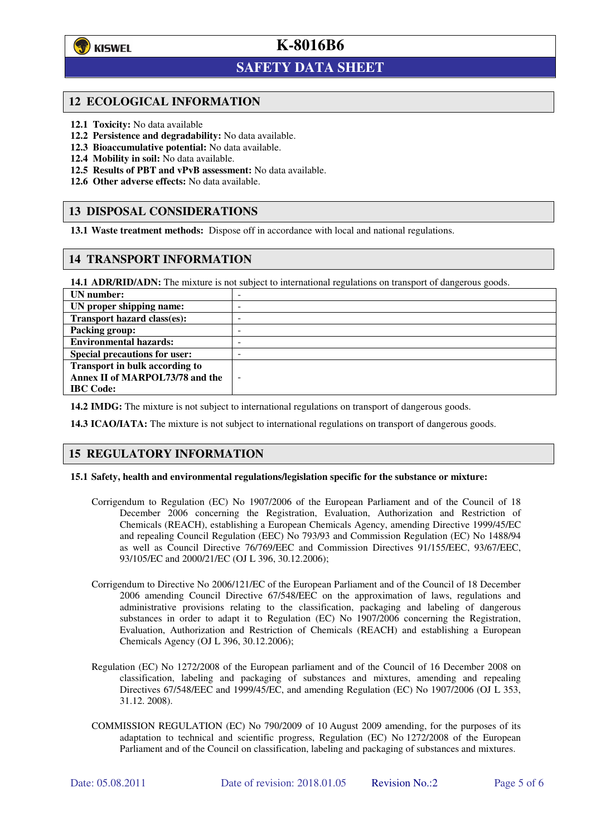

 $\overline{a}$ 

## **K-8016B6**

## **SAFETY DATA SHEET**

#### **12 ECOLOGICAL INFORMATION**

- **12.1 Toxicity:** No data available
- **12.2 Persistence and degradability:** No data available.
- **12.3 Bioaccumulative potential:** No data available.
- **12.4 Mobility in soil:** No data available.
- **12.5 Results of PBT and vPvB assessment:** No data available.
- **12.6 Other adverse effects:** No data available.

### **13 DISPOSAL CONSIDERATIONS**

**13.1 Waste treatment methods:** Dispose off in accordance with local and national regulations.

### **14 TRANSPORT INFORMATION**

**14.1 ADR/RID/ADN:** The mixture is not subject to international regulations on transport of dangerous goods.

| UN number:                            | $\sim$                   |
|---------------------------------------|--------------------------|
| UN proper shipping name:              | -                        |
| Transport hazard class(es):           | -                        |
| <b>Packing group:</b>                 | -                        |
| <b>Environmental hazards:</b>         | -                        |
| <b>Special precautions for user:</b>  | -                        |
| <b>Transport in bulk according to</b> |                          |
| Annex II of MARPOL73/78 and the       | $\overline{\phantom{a}}$ |
| <b>IBC</b> Code:                      |                          |

**14.2 IMDG:** The mixture is not subject to international regulations on transport of dangerous goods.

**14.3 ICAO/IATA:** The mixture is not subject to international regulations on transport of dangerous goods.

#### **15 REGULATORY INFORMATION**

#### **15.1 Safety, health and environmental regulations/legislation specific for the substance or mixture:**

- Corrigendum to Regulation (EC) No 1907/2006 of the European Parliament and of the Council of 18 December 2006 concerning the Registration, Evaluation, Authorization and Restriction of Chemicals (REACH), establishing a European Chemicals Agency, amending Directive 1999/45/EC and repealing Council Regulation (EEC) No 793/93 and Commission Regulation (EC) No 1488/94 as well as Council Directive 76/769/EEC and Commission Directives 91/155/EEC, 93/67/EEC, 93/105/EC and 2000/21/EC (OJ L 396, 30.12.2006);
- Corrigendum to Directive No 2006/121/EC of the European Parliament and of the Council of 18 December 2006 amending Council Directive 67/548/EEC on the approximation of laws, regulations and administrative provisions relating to the classification, packaging and labeling of dangerous substances in order to adapt it to Regulation (EC) No 1907/2006 concerning the Registration, Evaluation, Authorization and Restriction of Chemicals (REACH) and establishing a European Chemicals Agency (OJ L 396, 30.12.2006);
- Regulation (EC) No 1272/2008 of the European parliament and of the Council of 16 December 2008 on classification, labeling and packaging of substances and mixtures, amending and repealing Directives 67/548/EEC and 1999/45/EC, and amending Regulation (EC) No 1907/2006 (OJ L 353, 31.12. 2008).
- COMMISSION REGULATION (EC) No 790/2009 of 10 August 2009 amending, for the purposes of its adaptation to technical and scientific progress, Regulation (EC) No 1272/2008 of the European Parliament and of the Council on classification, labeling and packaging of substances and mixtures.